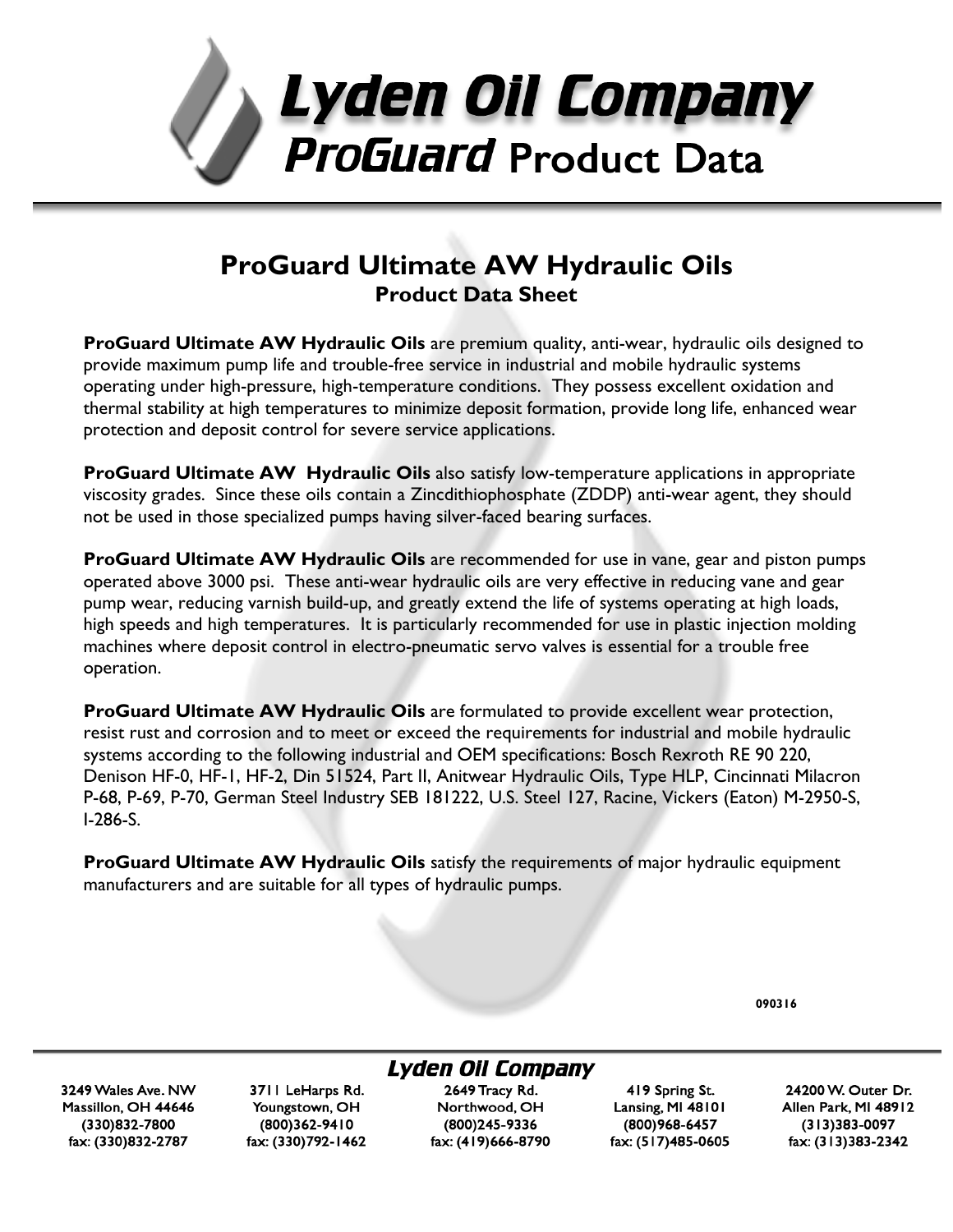

# **ProGuard Ultimate AW Hydraulic Oils Product Data Sheet**

**ProGuard Ultimate AW Hydraulic Oils** are premium quality, anti-wear, hydraulic oils designed to provide maximum pump life and trouble-free service in industrial and mobile hydraulic systems operating under high-pressure, high-temperature conditions. They possess excellent oxidation and thermal stability at high temperatures to minimize deposit formation, provide long life, enhanced wear protection and deposit control for severe service applications.

**ProGuard Ultimate AW Hydraulic Oils** also satisfy low-temperature applications in appropriate viscosity grades. Since these oils contain a Zincdithiophosphate (ZDDP) anti-wear agent, they should not be used in those specialized pumps having silver-faced bearing surfaces.

**ProGuard Ultimate AW Hydraulic Oils** are recommended for use in vane, gear and piston pumps operated above 3000 psi. These anti-wear hydraulic oils are very effective in reducing vane and gear pump wear, reducing varnish build-up, and greatly extend the life of systems operating at high loads, high speeds and high temperatures. It is particularly recommended for use in plastic injection molding machines where deposit control in electro-pneumatic servo valves is essential for a trouble free operation.

**ProGuard Ultimate AW Hydraulic Oils** are formulated to provide excellent wear protection, resist rust and corrosion and to meet or exceed the requirements for industrial and mobile hydraulic systems according to the following industrial and OEM specifications: Bosch Rexroth RE 90 220, Denison HF-0, HF-1, HF-2, Din 51524, Part II, Anitwear Hydraulic Oils, Type HLP, Cincinnati Milacron P-68, P-69, P-70, German Steel Industry SEB 181222, U.S. Steel 127, Racine, Vickers (Eaton) M-2950-S, I-286-S.

**ProGuard Ultimate AW Hydraulic Oils** satisfy the requirements of major hydraulic equipment manufacturers and are suitable for all types of hydraulic pumps.

**090316**

Lyden Oil Company

3249 Wales Ave. NW Massillon, OH 44646 (330)832-7800 fax: (330)832-2787

3711 LeHarps Rd. Youngstown, OH (800)362-9410 fax: (330)792-1462

2649 Tracy Rd. Northwood, OH (800)245-9336 fax: (419)666-8790

419 Spring St. Lansing, MI 48101 (800)968-6457 fax: (517)485-0605

24200 W. Outer Dr. Allen Park, MI 48912  $(313)383 - 0097$ fax: (313)383-2342